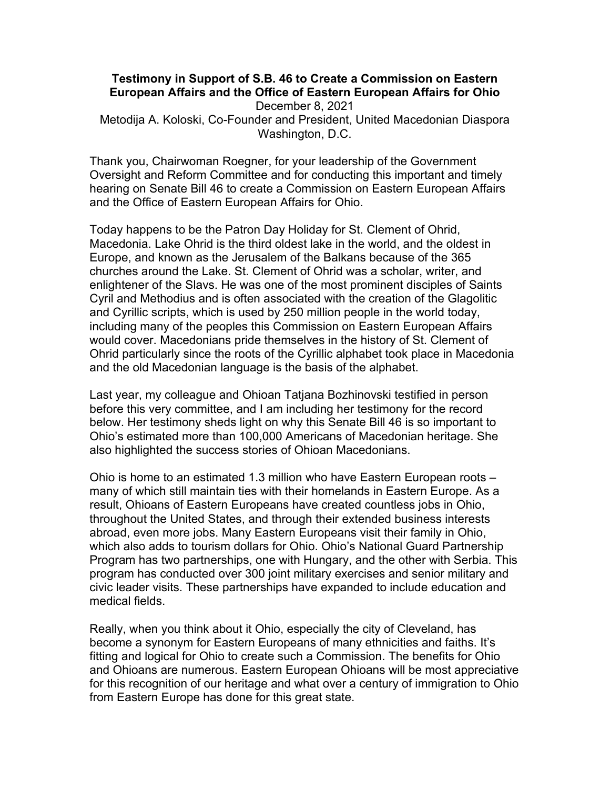## **Testimony in Support of S.B. 46 to Create a Commission on Eastern European Affairs and the Office of Eastern European Affairs for Ohio** December 8, 2021 Metodija A. Koloski, Co-Founder and President, United Macedonian Diaspora Washington, D.C.

Thank you, Chairwoman Roegner, for your leadership of the Government Oversight and Reform Committee and for conducting this important and timely hearing on Senate Bill 46 to create a Commission on Eastern European Affairs and the Office of Eastern European Affairs for Ohio.

Today happens to be the Patron Day Holiday for St. Clement of Ohrid, Macedonia. Lake Ohrid is the third oldest lake in the world, and the oldest in Europe, and known as the Jerusalem of the Balkans because of the 365 churches around the Lake. St. Clement of Ohrid was a scholar, writer, and enlightener of the Slavs. He was one of the most prominent disciples of Saints Cyril and Methodius and is often associated with the creation of the Glagolitic and Cyrillic scripts, which is used by 250 million people in the world today, including many of the peoples this Commission on Eastern European Affairs would cover. Macedonians pride themselves in the history of St. Clement of Ohrid particularly since the roots of the Cyrillic alphabet took place in Macedonia and the old Macedonian language is the basis of the alphabet.

Last year, my colleague and Ohioan Tatjana Bozhinovski testified in person before this very committee, and I am including her testimony for the record below. Her testimony sheds light on why this Senate Bill 46 is so important to Ohio's estimated more than 100,000 Americans of Macedonian heritage. She also highlighted the success stories of Ohioan Macedonians.

Ohio is home to an estimated 1.3 million who have Eastern European roots – many of which still maintain ties with their homelands in Eastern Europe. As a result, Ohioans of Eastern Europeans have created countless jobs in Ohio, throughout the United States, and through their extended business interests abroad, even more jobs. Many Eastern Europeans visit their family in Ohio, which also adds to tourism dollars for Ohio. Ohio's National Guard Partnership Program has two partnerships, one with Hungary, and the other with Serbia. This program has conducted over 300 joint military exercises and senior military and civic leader visits. These partnerships have expanded to include education and medical fields.

Really, when you think about it Ohio, especially the city of Cleveland, has become a synonym for Eastern Europeans of many ethnicities and faiths. It's fitting and logical for Ohio to create such a Commission. The benefits for Ohio and Ohioans are numerous. Eastern European Ohioans will be most appreciative for this recognition of our heritage and what over a century of immigration to Ohio from Eastern Europe has done for this great state.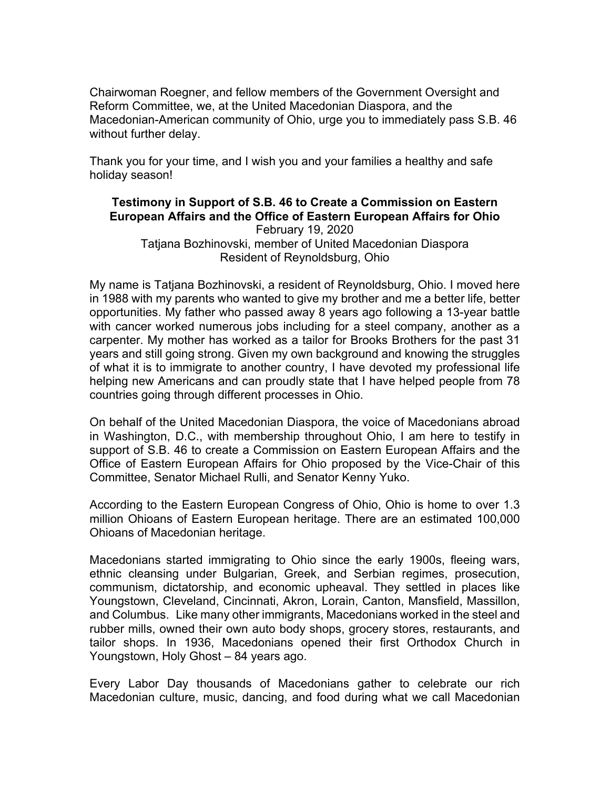Chairwoman Roegner, and fellow members of the Government Oversight and Reform Committee, we, at the United Macedonian Diaspora, and the Macedonian-American community of Ohio, urge you to immediately pass S.B. 46 without further delay.

Thank you for your time, and I wish you and your families a healthy and safe holiday season!

## **Testimony in Support of S.B. 46 to Create a Commission on Eastern European Affairs and the Office of Eastern European Affairs for Ohio** February 19, 2020 Tatjana Bozhinovski, member of United Macedonian Diaspora

Resident of Reynoldsburg, Ohio

My name is Tatjana Bozhinovski, a resident of Reynoldsburg, Ohio. I moved here in 1988 with my parents who wanted to give my brother and me a better life, better opportunities. My father who passed away 8 years ago following a 13-year battle with cancer worked numerous jobs including for a steel company, another as a carpenter. My mother has worked as a tailor for Brooks Brothers for the past 31 years and still going strong. Given my own background and knowing the struggles of what it is to immigrate to another country, I have devoted my professional life helping new Americans and can proudly state that I have helped people from 78 countries going through different processes in Ohio.

On behalf of the United Macedonian Diaspora, the voice of Macedonians abroad in Washington, D.C., with membership throughout Ohio, I am here to testify in support of S.B. 46 to create a Commission on Eastern European Affairs and the Office of Eastern European Affairs for Ohio proposed by the Vice-Chair of this Committee, Senator Michael Rulli, and Senator Kenny Yuko.

According to the Eastern European Congress of Ohio, Ohio is home to over 1.3 million Ohioans of Eastern European heritage. There are an estimated 100,000 Ohioans of Macedonian heritage.

Macedonians started immigrating to Ohio since the early 1900s, fleeing wars, ethnic cleansing under Bulgarian, Greek, and Serbian regimes, prosecution, communism, dictatorship, and economic upheaval. They settled in places like Youngstown, Cleveland, Cincinnati, Akron, Lorain, Canton, Mansfield, Massillon, and Columbus. Like many other immigrants, Macedonians worked in the steel and rubber mills, owned their own auto body shops, grocery stores, restaurants, and tailor shops. In 1936, Macedonians opened their first Orthodox Church in Youngstown, Holy Ghost – 84 years ago.

Every Labor Day thousands of Macedonians gather to celebrate our rich Macedonian culture, music, dancing, and food during what we call Macedonian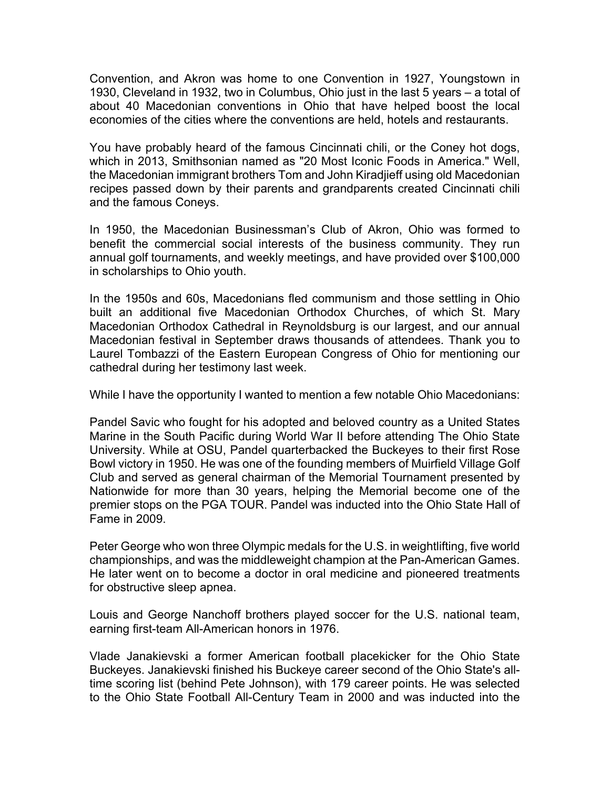Convention, and Akron was home to one Convention in 1927, Youngstown in 1930, Cleveland in 1932, two in Columbus, Ohio just in the last 5 years – a total of about 40 Macedonian conventions in Ohio that have helped boost the local economies of the cities where the conventions are held, hotels and restaurants.

You have probably heard of the famous Cincinnati chili, or the Coney hot dogs, which in 2013, Smithsonian named as "20 Most Iconic Foods in America." Well, the Macedonian immigrant brothers Tom and John Kiradjieff using old Macedonian recipes passed down by their parents and grandparents created Cincinnati chili and the famous Coneys.

In 1950, the Macedonian Businessman's Club of Akron, Ohio was formed to benefit the commercial social interests of the business community. They run annual golf tournaments, and weekly meetings, and have provided over \$100,000 in scholarships to Ohio youth.

In the 1950s and 60s, Macedonians fled communism and those settling in Ohio built an additional five Macedonian Orthodox Churches, of which St. Mary Macedonian Orthodox Cathedral in Reynoldsburg is our largest, and our annual Macedonian festival in September draws thousands of attendees. Thank you to Laurel Tombazzi of the Eastern European Congress of Ohio for mentioning our cathedral during her testimony last week.

While I have the opportunity I wanted to mention a few notable Ohio Macedonians:

Pandel Savic who fought for his adopted and beloved country as a United States Marine in the South Pacific during World War II before attending The Ohio State University. While at OSU, Pandel quarterbacked the Buckeyes to their first Rose Bowl victory in 1950. He was one of the founding members of Muirfield Village Golf Club and served as general chairman of the Memorial Tournament presented by Nationwide for more than 30 years, helping the Memorial become one of the premier stops on the PGA TOUR. Pandel was inducted into the Ohio State Hall of Fame in 2009.

Peter George who won three Olympic medals for the U.S. in weightlifting, five world championships, and was the middleweight champion at the Pan-American Games. He later went on to become a doctor in oral medicine and pioneered treatments for obstructive sleep apnea.

Louis and George Nanchoff brothers played soccer for the U.S. national team, earning first-team All-American honors in 1976.

Vlade Janakievski a former American football placekicker for the Ohio State Buckeyes. Janakievski finished his Buckeye career second of the Ohio State's alltime scoring list (behind Pete Johnson), with 179 career points. He was selected to the Ohio State Football All-Century Team in 2000 and was inducted into the